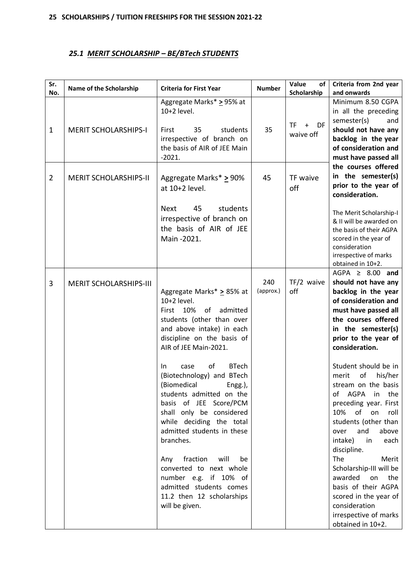# *25.1 MERIT SCHOLARSHIP – BE/BTech STUDENTS*

| Sr.<br>No.     | Name of the Scholarship       | <b>Criteria for First Year</b>                                                                                                                                                                                                                                                                                                                                                                                                                                                                                                                                                                               | <b>Number</b>    | Value<br>of<br>Scholarship          | Criteria from 2nd year<br>and onwards                                                                                                                                                                                                                                                                                                                                                                                                                                                                                                                                                                                                                   |
|----------------|-------------------------------|--------------------------------------------------------------------------------------------------------------------------------------------------------------------------------------------------------------------------------------------------------------------------------------------------------------------------------------------------------------------------------------------------------------------------------------------------------------------------------------------------------------------------------------------------------------------------------------------------------------|------------------|-------------------------------------|---------------------------------------------------------------------------------------------------------------------------------------------------------------------------------------------------------------------------------------------------------------------------------------------------------------------------------------------------------------------------------------------------------------------------------------------------------------------------------------------------------------------------------------------------------------------------------------------------------------------------------------------------------|
| $\mathbf{1}$   | <b>MERIT SCHOLARSHIPS-I</b>   | Aggregate Marks* > 95% at<br>10+2 level.<br>35<br>students<br>First<br>irrespective of branch on<br>the basis of AIR of JEE Main<br>$-2021.$                                                                                                                                                                                                                                                                                                                                                                                                                                                                 | 35               | <b>TF</b><br>DF<br>$+$<br>waive off | Minimum 8.50 CGPA<br>in all the preceding<br>semester(s)<br>and<br>should not have any<br>backlog in the year<br>of consideration and<br>must have passed all                                                                                                                                                                                                                                                                                                                                                                                                                                                                                           |
| $\overline{2}$ | <b>MERIT SCHOLARSHIPS-II</b>  | Aggregate Marks* > 90%<br>at 10+2 level.<br>students<br><b>Next</b><br>45<br>irrespective of branch on<br>the basis of AIR of JEE<br>Main -2021.                                                                                                                                                                                                                                                                                                                                                                                                                                                             | 45               | TF waive<br>off                     | the courses offered<br>in the semester(s)<br>prior to the year of<br>consideration.<br>The Merit Scholarship-I<br>& II will be awarded on<br>the basis of their AGPA<br>scored in the year of<br>consideration<br>irrespective of marks                                                                                                                                                                                                                                                                                                                                                                                                                 |
| 3              | <b>MERIT SCHOLARSHIPS-III</b> | Aggregate Marks* > 85% at<br>10+2 level.<br>10%<br>First<br>of<br>admitted<br>students (other than over<br>and above intake) in each<br>discipline on the basis of<br>AIR of JEE Main-2021.<br><b>BTech</b><br>οf<br>case<br>In.<br>(Biotechnology) and BTech<br>(Biomedical<br>Engg.),<br>students admitted on the<br>basis of JEE Score/PCM<br>shall only be considered<br>while deciding the total<br>admitted students in these<br>branches.<br>fraction will<br>Any<br>be<br>converted to next whole<br>number e.g. if 10% of<br>admitted students comes<br>11.2 then 12 scholarships<br>will be given. | 240<br>(approx.) | $TF/2$ waive<br>off                 | obtained in 10+2.<br>AGPA $\geq$ 8.00 and<br>should not have any<br>backlog in the year<br>of consideration and<br>must have passed all<br>the courses offered<br>in the semester(s)<br>prior to the year of<br>consideration.<br>Student should be in<br>of<br>merit<br>his/her<br>stream on the basis<br>AGPA<br>in the<br>of<br>preceding year. First<br>10% of on<br>roll<br>students (other than<br>and<br>above<br>over<br>intake)<br>each<br>in<br>discipline.<br>The<br>Merit<br>Scholarship-III will be<br>awarded<br>on<br>the<br>basis of their AGPA<br>scored in the year of<br>consideration<br>irrespective of marks<br>obtained in 10+2. |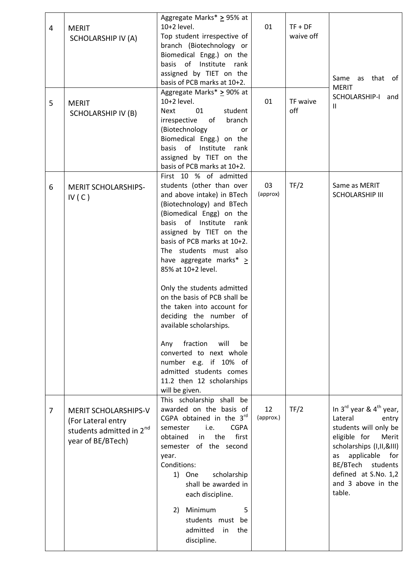| 4<br>5         | <b>MERIT</b><br><b>SCHOLARSHIP IV (A)</b><br><b>MERIT</b><br><b>SCHOLARSHIP IV (B)</b>                         | Aggregate Marks* > 95% at<br>10+2 level.<br>Top student irrespective of<br>branch (Biotechnology or<br>Biomedical Engg.) on the<br>basis of Institute rank<br>assigned by TIET on the<br>basis of PCB marks at 10+2.<br>Aggregate Marks* > 90% at<br>10+2 level.<br>01<br>student<br><b>Next</b><br>irrespective of<br>branch<br>(Biotechnology<br>or<br>Biomedical Engg.) on the<br>basis of Institute rank<br>assigned by TIET on the<br>basis of PCB marks at 10+2.                                                                                                                                                          | 01<br>01        | $TF + DF$<br>waive off<br>TF waive<br>off | Same as that of<br><b>MERIT</b><br>SCHOLARSHIP-I<br>and<br>$\mathbf{H}$                                                                                                                                                                     |
|----------------|----------------------------------------------------------------------------------------------------------------|---------------------------------------------------------------------------------------------------------------------------------------------------------------------------------------------------------------------------------------------------------------------------------------------------------------------------------------------------------------------------------------------------------------------------------------------------------------------------------------------------------------------------------------------------------------------------------------------------------------------------------|-----------------|-------------------------------------------|---------------------------------------------------------------------------------------------------------------------------------------------------------------------------------------------------------------------------------------------|
| 6              | <b>MERIT SCHOLARSHIPS-</b><br>IV(C)                                                                            | First 10 % of admitted<br>students (other than over<br>and above intake) in BTech<br>(Biotechnology) and BTech<br>(Biomedical Engg) on the<br>basis of Institute rank<br>assigned by TIET on the<br>basis of PCB marks at 10+2.<br>The students must also<br>have aggregate marks* $\geq$<br>85% at 10+2 level.<br>Only the students admitted<br>on the basis of PCB shall be<br>the taken into account for<br>deciding the number of<br>available scholarships.<br>fraction<br>will<br>Any<br>be<br>converted to next whole<br>number e.g. if 10% of<br>admitted students comes<br>11.2 then 12 scholarships<br>will be given. | 03<br>(approx)  | TF/2                                      | Same as MERIT<br><b>SCHOLARSHIP III</b>                                                                                                                                                                                                     |
| $\overline{7}$ | <b>MERIT SCHOLARSHIPS-V</b><br>(For Lateral entry<br>students admitted in 2 <sup>nd</sup><br>year of BE/BTech) | This scholarship shall be<br>awarded on the basis of<br>CGPA obtained in the $3rd$<br>i.e.<br><b>CGPA</b><br>semester<br>the<br>first<br>obtained<br>in<br>semester of the second<br>year.<br>Conditions:<br>scholarship<br>1) One<br>shall be awarded in<br>each discipline.<br>2) Minimum<br>5<br>students must be<br>admitted<br>in<br>the<br>discipline.                                                                                                                                                                                                                                                                    | 12<br>(approx.) | TF/2                                      | In $3^{rd}$ year & $4^{th}$ year,<br>Lateral<br>entry<br>students will only be<br>eligible for<br>Merit<br>scholarships (I, II, & III)<br>applicable for<br>as<br>BE/BTech students<br>defined at S.No. 1,2<br>and 3 above in the<br>table. |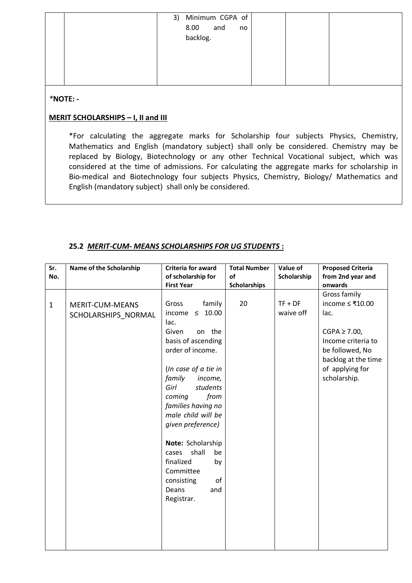|  | 3) Minimum CGPA of<br>8.00 and<br>backlog.<br>no |  |
|--|--------------------------------------------------|--|
|  |                                                  |  |

# *\****NOTE: -**

# **MERIT SCHOLARSHIPS – I, II and III**

\*For calculating the aggregate marks for Scholarship four subjects Physics, Chemistry, Mathematics and English (mandatory subject) shall only be considered. Chemistry may be replaced by Biology, Biotechnology or any other Technical Vocational subject, which was considered at the time of admissions. For calculating the aggregate marks for scholarship in Bio-medical and Biotechnology four subjects Physics, Chemistry, Biology/ Mathematics and English (mandatory subject) shall only be considered.

| Sr.          | Name of the Scholarship | Criteria for award     | <b>Total Number</b> | Value of    | <b>Proposed Criteria</b> |
|--------------|-------------------------|------------------------|---------------------|-------------|--------------------------|
| No.          |                         | of scholarship for     | of                  | Scholarship | from 2nd year and        |
|              |                         | <b>First Year</b>      | <b>Scholarships</b> |             | onwards                  |
|              |                         |                        |                     |             | Gross family             |
| $\mathbf{1}$ | MERIT-CUM-MEANS         | family<br>Gross        | 20                  | $TF + DF$   | income $≤ ₹10.00$        |
|              | SCHOLARSHIPS NORMAL     | $\leq 10.00$<br>income |                     | waive off   | lac.                     |
|              |                         | lac.                   |                     |             |                          |
|              |                         | Given<br>on the        |                     |             | $CGPA \geq 7.00$ ,       |
|              |                         | basis of ascending     |                     |             | Income criteria to       |
|              |                         | order of income.       |                     |             | be followed, No          |
|              |                         |                        |                     |             | backlog at the time      |
|              |                         | (In case of a tie in   |                     |             | of applying for          |
|              |                         | family<br>income,      |                     |             | scholarship.             |
|              |                         | Girl<br>students       |                     |             |                          |
|              |                         | coming<br>from         |                     |             |                          |
|              |                         | families having no     |                     |             |                          |
|              |                         | male child will be     |                     |             |                          |
|              |                         | given preference)      |                     |             |                          |
|              |                         |                        |                     |             |                          |
|              |                         | Note: Scholarship      |                     |             |                          |
|              |                         | shall<br>be<br>cases   |                     |             |                          |
|              |                         | finalized<br>by        |                     |             |                          |
|              |                         | Committee              |                     |             |                          |
|              |                         | of<br>consisting       |                     |             |                          |
|              |                         | Deans<br>and           |                     |             |                          |
|              |                         | Registrar.             |                     |             |                          |
|              |                         |                        |                     |             |                          |
|              |                         |                        |                     |             |                          |
|              |                         |                        |                     |             |                          |
|              |                         |                        |                     |             |                          |
|              |                         |                        |                     |             |                          |

## **25.2** *MERIT-CUM- MEANS SCHOLARSHIPS FOR UG STUDENTS* **:**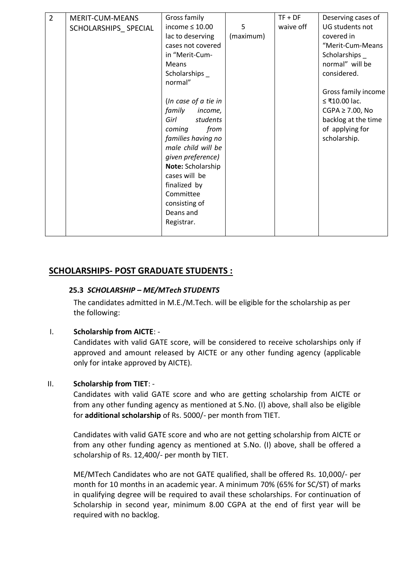| $\overline{2}$ | MERIT-CUM-MEANS      | Gross family         |           | $TF + DF$ | Deserving cases of    |
|----------------|----------------------|----------------------|-----------|-----------|-----------------------|
|                | SCHOLARSHIPS SPECIAL | income $\leq 10.00$  | 5         | waive off | UG students not       |
|                |                      | lac to deserving     | (maximum) |           | covered in            |
|                |                      | cases not covered    |           |           | "Merit-Cum-Means      |
|                |                      | in "Merit-Cum-       |           |           | Scholarships _        |
|                |                      | <b>Means</b>         |           |           | normal" will be       |
|                |                      | Scholarships _       |           |           | considered.           |
|                |                      | normal"              |           |           |                       |
|                |                      |                      |           |           | Gross family income   |
|                |                      | (In case of a tie in |           |           | ≤ ₹10.00 lac.         |
|                |                      | family<br>income,    |           |           | $CGPA \geq 7.00$ , No |
|                |                      | Girl<br>students     |           |           | backlog at the time   |
|                |                      | from<br>coming       |           |           | of applying for       |
|                |                      | families having no   |           |           | scholarship.          |
|                |                      | male child will be   |           |           |                       |
|                |                      | given preference)    |           |           |                       |
|                |                      | Note: Scholarship    |           |           |                       |
|                |                      | cases will be        |           |           |                       |
|                |                      | finalized by         |           |           |                       |
|                |                      | Committee            |           |           |                       |
|                |                      | consisting of        |           |           |                       |
|                |                      | Deans and            |           |           |                       |
|                |                      | Registrar.           |           |           |                       |
|                |                      |                      |           |           |                       |

# **SCHOLARSHIPS- POST GRADUATE STUDENTS :**

## **25.3** *SCHOLARSHIP – ME/MTech STUDENTS*

The candidates admitted in M.E./M.Tech. will be eligible for the scholarship as per the following:

## I. **Scholarship from AICTE**: -

Candidates with valid GATE score, will be considered to receive scholarships only if approved and amount released by AICTE or any other funding agency (applicable only for intake approved by AICTE).

## II. **Scholarship from TIET**: -

Candidates with valid GATE score and who are getting scholarship from AICTE or from any other funding agency as mentioned at S.No. (I) above, shall also be eligible for **additional scholarship** of Rs. 5000/- per month from TIET.

Candidates with valid GATE score and who are not getting scholarship from AICTE or from any other funding agency as mentioned at S.No. (I) above, shall be offered a scholarship of Rs. 12,400/- per month by TIET.

ME/MTech Candidates who are not GATE qualified, shall be offered Rs. 10,000/- per month for 10 months in an academic year. A minimum 70% (65% for SC/ST) of marks in qualifying degree will be required to avail these scholarships. For continuation of Scholarship in second year, minimum 8.00 CGPA at the end of first year will be required with no backlog.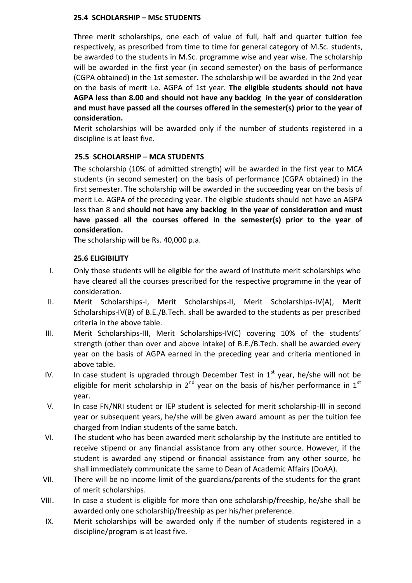#### **25.4 SCHOLARSHIP – MSc STUDENTS**

Three merit scholarships, one each of value of full, half and quarter tuition fee respectively, as prescribed from time to time for general category of M.Sc. students, be awarded to the students in M.Sc. programme wise and year wise. The scholarship will be awarded in the first year (in second semester) on the basis of performance (CGPA obtained) in the 1st semester. The scholarship will be awarded in the 2nd year on the basis of merit i.e. AGPA of 1st year. **The eligible students should not have AGPA less than 8.00 and should not have any backlog in the year of consideration and must have passed all the courses offered in the semester(s) prior to the year of consideration.**

Merit scholarships will be awarded only if the number of students registered in a discipline is at least five.

## **25.5 SCHOLARSHIP – MCA STUDENTS**

The scholarship (10% of admitted strength) will be awarded in the first year to MCA students (in second semester) on the basis of performance (CGPA obtained) in the first semester. The scholarship will be awarded in the succeeding year on the basis of merit i.e. AGPA of the preceding year. The eligible students should not have an AGPA less than 8 and **should not have any backlog in the year of consideration and must have passed all the courses offered in the semester(s) prior to the year of consideration.**

The scholarship will be Rs. 40,000 p.a.

#### **25.6 ELIGIBILITY**

- I. Only those students will be eligible for the award of Institute merit scholarships who have cleared all the courses prescribed for the respective programme in the year of consideration.
- II. Merit Scholarships-I, Merit Scholarships-II, Merit Scholarships-IV(A), Merit Scholarships-IV(B) of B.E./B.Tech. shall be awarded to the students as per prescribed criteria in the above table.
- III. Merit Scholarships-III, Merit Scholarships-IV(C) covering 10% of the students' strength (other than over and above intake) of B.E./B.Tech. shall be awarded every year on the basis of AGPA earned in the preceding year and criteria mentioned in above table.
- IV. In case student is upgraded through December Test in  $1<sup>st</sup>$  year, he/she will not be eligible for merit scholarship in  $2^{nd}$  year on the basis of his/her performance in  $1^{st}$ year.
- V. In case FN/NRI student or IEP student is selected for merit scholarship-III in second year or subsequent years, he/she will be given award amount as per the tuition fee charged from Indian students of the same batch.
- VI. The student who has been awarded merit scholarship by the Institute are entitled to receive stipend or any financial assistance from any other source. However, if the student is awarded any stipend or financial assistance from any other source, he shall immediately communicate the same to Dean of Academic Affairs (DoAA).
- VII. There will be no income limit of the guardians/parents of the students for the grant of merit scholarships.
- VIII. In case a student is eligible for more than one scholarship/freeship, he/she shall be awarded only one scholarship/freeship as per his/her preference.
- IX. Merit scholarships will be awarded only if the number of students registered in a discipline/program is at least five.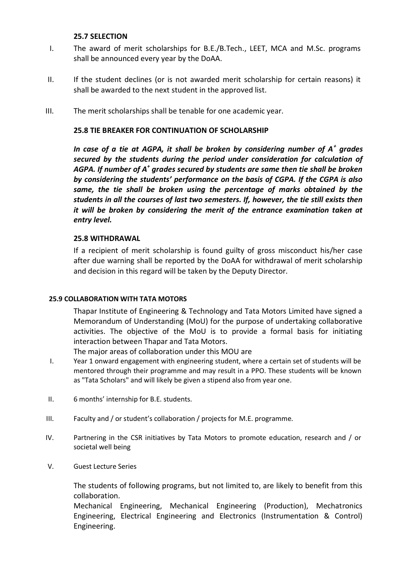#### **25.7 SELECTION**

- I. The award of merit scholarships for B.E./B.Tech., LEET, MCA and M.Sc. programs shall be announced every year by the DoAA.
- II. If the student declines (or is not awarded merit scholarship for certain reasons) it shall be awarded to the next student in the approved list.
- III. The merit scholarships shall be tenable for one academic year.

#### **25.8 TIE BREAKER FOR CONTINUATION OF SCHOLARSHIP**

*In case of a tie at AGPA, it shall be broken by considering number of A<sup>+</sup> grades secured by the students during the period under consideration for calculation of AGPA. If number of A<sup>+</sup> grades secured by students are same then tie shall be broken by considering the students' performance on the basis of CGPA. If the CGPA is also same, the tie shall be broken using the percentage of marks obtained by the students in all the courses of last two semesters. If, however, the tie still exists then it will be broken by considering the merit of the entrance examination taken at entry level.*

#### **25.8 WITHDRAWAL**

If a recipient of merit scholarship is found guilty of gross misconduct his/her case after due warning shall be reported by the DoAA for withdrawal of merit scholarship and decision in this regard will be taken by the Deputy Director.

#### **25.9 COLLABORATION WITH TATA MOTORS**

Thapar Institute of Engineering & Technology and Tata Motors Limited have signed a Memorandum of Understanding (MoU) for the purpose of undertaking collaborative activities. The objective of the MoU is to provide a formal basis for initiating interaction between Thapar and Tata Motors.

The major areas of collaboration under this MOU are

- I. Year 1 onward engagement with engineering student, where a certain set of students will be mentored through their programme and may result in a PPO. These students will be known as "Tata Scholars" and will likely be given a stipend also from year one.
- II. 6 months' internship for B.E. students.
- III. Faculty and / or student's collaboration / projects for M.E. programme.
- IV. Partnering in the CSR initiatives by Tata Motors to promote education, research and / or societal well being
- V. Guest Lecture Series

The students of following programs, but not limited to, are likely to benefit from this collaboration.

Mechanical Engineering, Mechanical Engineering (Production), Mechatronics Engineering, Electrical Engineering and Electronics (Instrumentation & Control) Engineering.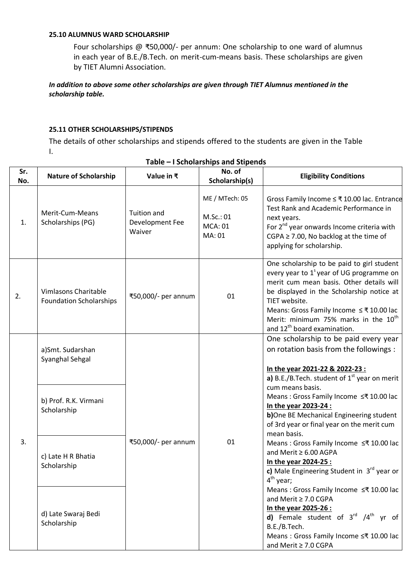#### **25.10 ALUMNUS WARD SCHOLARSHIP**

Four scholarships @ ₹50,000/- per annum: One scholarship to one ward of alumnus in each year of B.E./B.Tech. on merit-cum-means basis. These scholarships are given by TIET Alumni Association.

#### *In addition to above some other scholarships are given through TIET Alumnus mentioned in the scholarship table.*

#### **25.11 OTHER SCHOLARSHIPS/STIPENDS**

The details of other scholarships and stipends offered to the students are given in the Table I.

| Sr.<br>No. | <b>Nature of Scholarship</b>                                                | Value in $\bar{x}$                              | No. of<br>Scholarship(s)                                | <b>Eligibility Conditions</b>                                                                                                                                                                                                                                                                                                                           |
|------------|-----------------------------------------------------------------------------|-------------------------------------------------|---------------------------------------------------------|---------------------------------------------------------------------------------------------------------------------------------------------------------------------------------------------------------------------------------------------------------------------------------------------------------------------------------------------------------|
| 1.         | Merit-Cum-Means<br>Scholarships (PG)                                        | <b>Tuition and</b><br>Development Fee<br>Waiver | ME / MTech: 05<br>M.Sc.: 01<br><b>MCA: 01</b><br>MA: 01 | Gross Family Income ≤ ₹10.00 lac. Entrance<br>Test Rank and Academic Performance in<br>next years.<br>For 2 <sup>nd</sup> year onwards Income criteria with<br>CGPA $\geq$ 7.00, No backlog at the time of<br>applying for scholarship.                                                                                                                 |
| 2.         | Vimlasons Charitable<br><b>Foundation Scholarships</b>                      | ₹50,000/- per annum                             | 01                                                      | One scholarship to be paid to girl student<br>every year to 1 <sup>s</sup> year of UG programme on<br>merit cum mean basis. Other details will<br>be displayed in the Scholarship notice at<br>TIET website.<br>Means: Gross Family Income ≤₹10.00 lac<br>Merit: minimum 75% marks in the 10 <sup>th</sup><br>and 12 <sup>th</sup> board examination.   |
|            | a)Smt. Sudarshan<br>Syanghal Sehgal<br>b) Prof. R.K. Virmani<br>Scholarship |                                                 |                                                         | One scholarship to be paid every year<br>on rotation basis from the followings :<br>In the year 2021-22 & 2022-23 :<br>a) B.E./B.Tech. student of $1st$ year on merit<br>cum means basis.<br>Means : Gross Family Income ≤₹ 10.00 lac<br>In the year 2023-24 :<br>b)One BE Mechanical Engineering student<br>of 3rd year or final year on the merit cum |
| 3.         | c) Late H R Bhatia<br>Scholarship                                           | ₹50,000/- per annum                             | 01                                                      | mean basis.<br>Means : Gross Family Income ≤₹ 10.00 lac<br>and Merit ≥ 6.00 AGPA<br>In the year 2024-25 :<br>c) Male Engineering Student in $3^{rd}$ year or<br>4 <sup>th</sup> year;                                                                                                                                                                   |
|            | d) Late Swaraj Bedi<br>Scholarship                                          |                                                 |                                                         | Means: Gross Family Income ≤₹ 10.00 lac<br>and Merit ≥ 7.0 CGPA<br>In the year 2025-26 :<br>d) Female student of $3^{rd}$ /4 <sup>th</sup> yr of<br>B.E./B.Tech.<br>Means: Gross Family Income ≤₹ 10.00 lac<br>and Merit ≥ 7.0 CGPA                                                                                                                     |

#### **Table – I Scholarships and Stipends**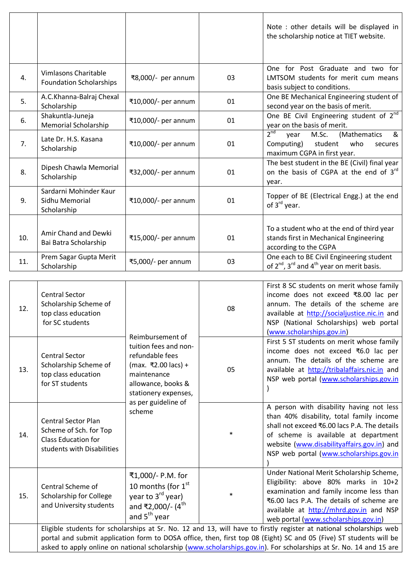|     |                                                         |                     |    | Note : other details will be displayed in<br>the scholarship notice at TIET website.                                            |
|-----|---------------------------------------------------------|---------------------|----|---------------------------------------------------------------------------------------------------------------------------------|
| 4.  | Vimlasons Charitable<br><b>Foundation Scholarships</b>  | ₹8,000/- per annum  | 03 | One for Post Graduate and two for<br>LMTSOM students for merit cum means<br>basis subject to conditions.                        |
| 5.  | A.C.Khanna-Balraj Chexal<br>Scholarship                 | ₹10,000/- per annum | 01 | One BE Mechanical Engineering student of<br>second year on the basis of merit.                                                  |
| 6.  | Shakuntla-Juneja<br><b>Memorial Scholarship</b>         | ₹10,000/- per annum | 01 | One BE Civil Engineering student of 2 <sup>nd</sup><br>year on the basis of merit.                                              |
| 7.  | Late Dr. H.S. Kasana<br>Scholarship                     | ₹10,000/- per annum | 01 | 2 <sup>nd</sup><br>&<br>M.Sc.<br>(Mathematics<br>vear<br>Computing)<br>student<br>who<br>secures<br>maximum CGPA in first year. |
| 8.  | Dipesh Chawla Memorial<br>Scholarship                   | ₹32,000/- per annum | 01 | The best student in the BE (Civil) final year<br>on the basis of CGPA at the end of 3rd<br>year.                                |
| 9.  | Sardarni Mohinder Kaur<br>Sidhu Memorial<br>Scholarship | ₹10,000/- per annum | 01 | Topper of BE (Electrical Engg.) at the end<br>of 3 <sup>rd</sup> year.                                                          |
| 10. | Amir Chand and Dewki<br>Bai Batra Scholarship           | ₹15,000/- per annum | 01 | To a student who at the end of third year<br>stands first in Mechanical Engineering<br>according to the CGPA                    |
| 11. | Prem Sagar Gupta Merit<br>Scholarship                   | ₹5,000/- per annum  | 03 | One each to BE Civil Engineering student<br>of $2^{nd}$ , $3^{rd}$ and $4^{th}$ year on merit basis.                            |

| 12. | <b>Central Sector</b><br>Scholarship Scheme of<br>top class education<br>for SC students                                                                                                                                                                                                                                                                        | Reimbursement of<br>tuition fees and non-<br>refundable fees<br>(max. ₹2.00 lacs) +<br>maintenance<br>allowance, books &<br>stationery expenses,<br>as per guideline of<br>scheme | 08     | First 8 SC students on merit whose family<br>income does not exceed ₹8.00 lac per<br>annum. The details of the scheme are<br>available at http://socialjustice.nic.in and<br>NSP (National Scholarships) web portal<br>(www.scholarships.gov.in)                      |  |
|-----|-----------------------------------------------------------------------------------------------------------------------------------------------------------------------------------------------------------------------------------------------------------------------------------------------------------------------------------------------------------------|-----------------------------------------------------------------------------------------------------------------------------------------------------------------------------------|--------|-----------------------------------------------------------------------------------------------------------------------------------------------------------------------------------------------------------------------------------------------------------------------|--|
| 13. | <b>Central Sector</b><br>Scholarship Scheme of<br>top class education<br>for ST students                                                                                                                                                                                                                                                                        |                                                                                                                                                                                   | 05     | First 5 ST students on merit whose family<br>income does not exceed ₹6.0 lac per<br>annum. The details of the scheme are<br>available at http://tribalaffairs.nic.in and<br>NSP web portal (www.scholarships.gov.in                                                   |  |
| 14. | <b>Central Sector Plan</b><br>Scheme of Sch. for Top<br><b>Class Education for</b><br>students with Disabilities                                                                                                                                                                                                                                                |                                                                                                                                                                                   | $\ast$ | A person with disability having not less<br>than 40% disability, total family income<br>shall not exceed ₹6.00 lacs P.A. The details<br>of scheme is available at department<br>website (www.disabilityaffairs.gov.in) and<br>NSP web portal (www.scholarships.gov.in |  |
| 15. | Central Scheme of<br>Scholarship for College<br>and University students                                                                                                                                                                                                                                                                                         | ₹1,000/- P.M. for<br>10 months (for 1 <sup>st</sup><br>year to 3 <sup>rd</sup> year)<br>and ₹2,000/- (4 <sup>th</sup><br>and 5 <sup>th</sup> year                                 | $\ast$ | Under National Merit Scholarship Scheme,<br>Eligibility: above 80% marks in 10+2<br>examination and family income less than<br>₹6.00 lacs P.A. The details of scheme are<br>available at http://mhrd.gov.in and NSP<br>web portal (www.scholarships.gov.in)           |  |
|     | Eligible students for scholarships at Sr. No. 12 and 13, will have to firstly register at national scholarships web<br>portal and submit application form to DOSA office, then, first top 08 (Eight) SC and 05 (Five) ST students will be<br>asked to apply online on national scholarship (www.scholarships.gov.in). For scholarships at Sr. No. 14 and 15 are |                                                                                                                                                                                   |        |                                                                                                                                                                                                                                                                       |  |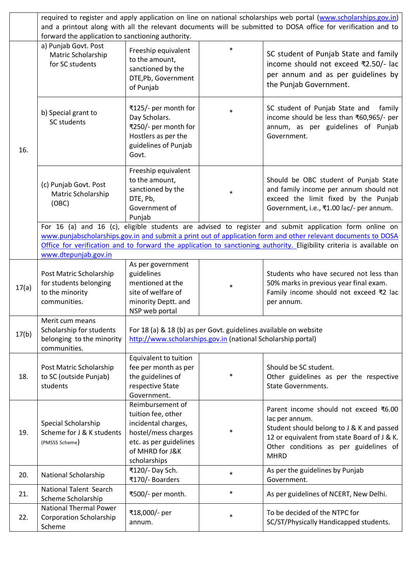|       | required to register and apply application on line on national scholarships web portal (www.scholarships.gov.in)<br>and a printout along with all the relevant documents will be submitted to DOSA office for verification and to<br>forward the application to sanctioning authority. |                                                                                                                                                                                                                                                                                                                                                  |        |                                                                                                                                                                                                             |  |
|-------|----------------------------------------------------------------------------------------------------------------------------------------------------------------------------------------------------------------------------------------------------------------------------------------|--------------------------------------------------------------------------------------------------------------------------------------------------------------------------------------------------------------------------------------------------------------------------------------------------------------------------------------------------|--------|-------------------------------------------------------------------------------------------------------------------------------------------------------------------------------------------------------------|--|
|       | a) Punjab Govt. Post<br>Matric Scholarship<br>for SC students                                                                                                                                                                                                                          | Freeship equivalent<br>to the amount,<br>sanctioned by the<br>DTE, Pb, Government<br>of Punjab                                                                                                                                                                                                                                                   | $\ast$ | SC student of Punjab State and family<br>income should not exceed ₹2.50/- lac<br>per annum and as per guidelines by<br>the Punjab Government.                                                               |  |
| 16.   | b) Special grant to<br><b>SC students</b>                                                                                                                                                                                                                                              | ₹125/- per month for<br>Day Scholars.<br>₹250/- per month for<br>Hostlers as per the<br>guidelines of Punjab<br>Govt.                                                                                                                                                                                                                            |        | SC student of Punjab State and<br>family<br>income should be less than ₹60,965/- per<br>annum, as per guidelines of Punjab<br>Government.                                                                   |  |
|       | (c) Punjab Govt. Post<br>Matric Scholarship<br>(OBC)                                                                                                                                                                                                                                   | Freeship equivalent<br>to the amount,<br>sanctioned by the<br>DTE, Pb,<br>Government of<br>Punjab                                                                                                                                                                                                                                                | $\ast$ | Should be OBC student of Punjab State<br>and family income per annum should not<br>exceed the limit fixed by the Punjab<br>Government, i.e., ₹1.00 lac/- per annum.                                         |  |
|       | www.dtepunjab.gov.in                                                                                                                                                                                                                                                                   | For 16 (a) and 16 (c), eligible students are advised to register and submit application form online on<br>www.punjabscholarships.gov.in and submit a print out of application form and other relevant documents to DOSA<br>Office for verification and to forward the application to sanctioning authority. Eligibility criteria is available on |        |                                                                                                                                                                                                             |  |
| 17(a) | Post Matric Scholarship<br>for students belonging<br>to the minority<br>communities.                                                                                                                                                                                                   | As per government<br>guidelines<br>mentioned at the<br>site of welfare of<br>minority Deptt. and<br>NSP web portal                                                                                                                                                                                                                               | $\ast$ | Students who have secured not less than<br>50% marks in previous year final exam.<br>Family income should not exceed ₹2 lac<br>per annum.                                                                   |  |
| 17(b) | Merit cum means<br>Scholarship for students<br>belonging to the minority<br>communities.                                                                                                                                                                                               | For 18 (a) & 18 (b) as per Govt. guidelines available on website<br>http://www.scholarships.gov.in (national Scholarship portal)                                                                                                                                                                                                                 |        |                                                                                                                                                                                                             |  |
| 18.   | Post Matric Scholarship<br>to SC (outside Punjab)<br>students                                                                                                                                                                                                                          | Equivalent to tuition<br>fee per month as per<br>the guidelines of<br>respective State<br>Government.                                                                                                                                                                                                                                            | $\ast$ | Should be SC student.<br>Other guidelines as per the respective<br><b>State Governments.</b>                                                                                                                |  |
| 19.   | Special Scholarship<br>Scheme for J & K students<br>(PMSSS Scheme)                                                                                                                                                                                                                     | Reimbursement of<br>tuition fee, other<br>incidental charges,<br>hostel/mess charges<br>etc. as per guidelines<br>of MHRD for J&K<br>scholarships                                                                                                                                                                                                | $\ast$ | Parent income should not exceed ₹6.00<br>lac per annum.<br>Student should belong to J & K and passed<br>12 or equivalent from state Board of J & K.<br>Other conditions as per guidelines of<br><b>MHRD</b> |  |
| 20.   | National Scholarship                                                                                                                                                                                                                                                                   | ₹120/- Day Sch.<br>₹170/- Boarders                                                                                                                                                                                                                                                                                                               | $\ast$ | As per the guidelines by Punjab<br>Government.                                                                                                                                                              |  |
| 21.   | <b>National Talent Search</b><br>Scheme Scholarship                                                                                                                                                                                                                                    | ₹500/- per month.                                                                                                                                                                                                                                                                                                                                | $\ast$ | As per guidelines of NCERT, New Delhi.                                                                                                                                                                      |  |
| 22.   | <b>National Thermal Power</b><br><b>Corporation Scholarship</b><br>Scheme                                                                                                                                                                                                              | ₹18,000/- per<br>annum.                                                                                                                                                                                                                                                                                                                          | $\ast$ | To be decided of the NTPC for<br>SC/ST/Physically Handicapped students.                                                                                                                                     |  |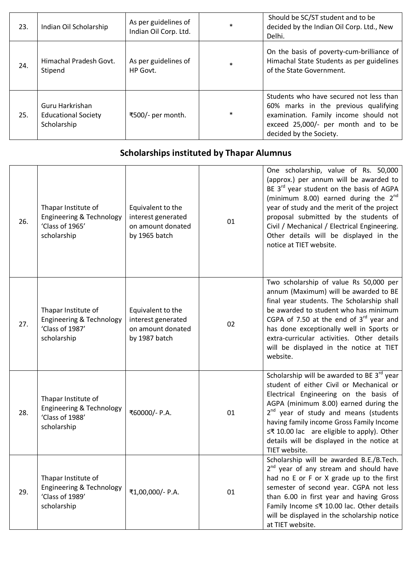| 23. | Indian Oil Scholarship                                       | As per guidelines of<br>Indian Oil Corp. Ltd. | $\ast$ | Should be SC/ST student and to be<br>decided by the Indian Oil Corp. Ltd., New<br>Delhi.                                                                                                   |
|-----|--------------------------------------------------------------|-----------------------------------------------|--------|--------------------------------------------------------------------------------------------------------------------------------------------------------------------------------------------|
| 24. | Himachal Pradesh Govt.<br>Stipend                            | As per guidelines of<br>HP Govt.              | $\ast$ | On the basis of poverty-cum-brilliance of<br>Himachal State Students as per guidelines<br>of the State Government.                                                                         |
| 25. | Guru Harkrishan<br><b>Educational Society</b><br>Scholarship | ₹500/- per month.                             | $\ast$ | Students who have secured not less than<br>60% marks in the previous qualifying<br>examination. Family income should not<br>exceed 25,000/- per month and to be<br>decided by the Society. |

# **Scholarships instituted by Thapar Alumnus**

| 26. | Thapar Institute of<br><b>Engineering &amp; Technology</b><br>'Class of 1965'<br>scholarship | Equivalent to the<br>interest generated<br>on amount donated<br>by 1965 batch | 01 | One scholarship, value of Rs. 50,000<br>(approx.) per annum will be awarded to<br>BE 3 <sup>rd</sup> year student on the basis of AGPA<br>(minimum 8.00) earned during the $2^{nd}$<br>year of study and the merit of the project<br>proposal submitted by the students of<br>Civil / Mechanical / Electrical Engineering.<br>Other details will be displayed in the<br>notice at TIET website. |
|-----|----------------------------------------------------------------------------------------------|-------------------------------------------------------------------------------|----|-------------------------------------------------------------------------------------------------------------------------------------------------------------------------------------------------------------------------------------------------------------------------------------------------------------------------------------------------------------------------------------------------|
| 27. | Thapar Institute of<br>Engineering & Technology<br>'Class of 1987'<br>scholarship            | Equivalent to the<br>interest generated<br>on amount donated<br>by 1987 batch | 02 | Two scholarship of value Rs 50,000 per<br>annum (Maximum) will be awarded to BE<br>final year students. The Scholarship shall<br>be awarded to student who has minimum<br>CGPA of 7.50 at the end of $3rd$ year and<br>has done exceptionally well in Sports or<br>extra-curricular activities. Other details<br>will be displayed in the notice at TIET<br>website.                            |
| 28. | Thapar Institute of<br>Engineering & Technology<br>'Class of 1988'<br>scholarship            | ₹60000/- P.A.                                                                 | 01 | Scholarship will be awarded to BE 3rd year<br>student of either Civil or Mechanical or<br>Electrical Engineering on the basis of<br>AGPA (minimum 8.00) earned during the<br>2 <sup>nd</sup> year of study and means (students<br>having family income Gross Family Income<br>≤₹ 10.00 lac are eligible to apply). Other<br>details will be displayed in the notice at<br>TIET website.         |
| 29. | Thapar Institute of<br><b>Engineering &amp; Technology</b><br>'Class of 1989'<br>scholarship | ₹1,00,000/- P.A.                                                              | 01 | Scholarship will be awarded B.E./B.Tech.<br>2 <sup>nd</sup> year of any stream and should have<br>had no E or F or X grade up to the first<br>semester of second year. CGPA not less<br>than 6.00 in first year and having Gross<br>Family Income ≤₹ 10.00 lac. Other details<br>will be displayed in the scholarship notice<br>at TIET website.                                                |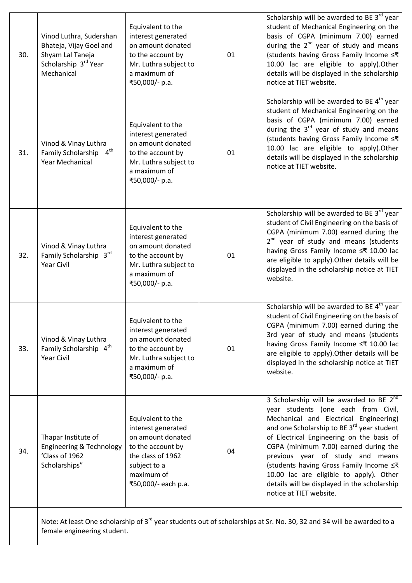|     | female engineering student.                                                                                  |                                                                                                                                                             |    | Note: At least One scholarship of 3 <sup>rd</sup> year students out of scholarships at Sr. No. 30, 32 and 34 will be awarded to a                                                                                                                                                                                                                                                                                                                                                         |
|-----|--------------------------------------------------------------------------------------------------------------|-------------------------------------------------------------------------------------------------------------------------------------------------------------|----|-------------------------------------------------------------------------------------------------------------------------------------------------------------------------------------------------------------------------------------------------------------------------------------------------------------------------------------------------------------------------------------------------------------------------------------------------------------------------------------------|
| 34. | Thapar Institute of<br><b>Engineering &amp; Technology</b><br>'Class of 1962<br>Scholarships"                | Equivalent to the<br>interest generated<br>on amount donated<br>to the account by<br>the class of 1962<br>subject to a<br>maximum of<br>₹50,000/- each p.a. | 04 | 3 Scholarship will be awarded to BE 2 <sup>nd</sup><br>year students (one each from Civil,<br>Mechanical and Electrical Engineering)<br>and one Scholarship to BE 3 <sup>rd</sup> year student<br>of Electrical Engineering on the basis of<br>CGPA (minimum 7.00) earned during the<br>previous year of study and means<br>(students having Gross Family Income ≤₹<br>10.00 lac are eligible to apply). Other<br>details will be displayed in the scholarship<br>notice at TIET website. |
| 33. | Vinod & Vinay Luthra<br>Family Scholarship 4th<br><b>Year Civil</b>                                          | Equivalent to the<br>interest generated<br>on amount donated<br>to the account by<br>Mr. Luthra subject to<br>a maximum of<br>₹50,000/- p.a.                | 01 | Scholarship will be awarded to BE $4th$ year<br>student of Civil Engineering on the basis of<br>CGPA (minimum 7.00) earned during the<br>3rd year of study and means (students<br>having Gross Family Income ≤₹ 10.00 lac<br>are eligible to apply). Other details will be<br>displayed in the scholarship notice at TIET<br>website.                                                                                                                                                     |
| 32. | Vinod & Vinay Luthra<br>Family Scholarship 3rd<br><b>Year Civil</b>                                          | Equivalent to the<br>interest generated<br>on amount donated<br>to the account by<br>Mr. Luthra subject to<br>a maximum of<br>₹50,000/- p.a.                | 01 | Scholarship will be awarded to BE 3rd year<br>student of Civil Engineering on the basis of<br>CGPA (minimum 7.00) earned during the<br>2 <sup>nd</sup> year of study and means (students<br>having Gross Family Income ≤₹ 10.00 lac<br>are eligible to apply). Other details will be<br>displayed in the scholarship notice at TIET<br>website.                                                                                                                                           |
| 31. | Vinod & Vinay Luthra<br>Family Scholarship 4th<br><b>Year Mechanical</b>                                     | Equivalent to the<br>interest generated<br>on amount donated<br>to the account by<br>Mr. Luthra subject to<br>a maximum of<br>₹50,000/- p.a.                | 01 | Scholarship will be awarded to BE $4th$ year<br>student of Mechanical Engineering on the<br>basis of CGPA (minimum 7.00) earned<br>during the $3rd$ year of study and means<br>(students having Gross Family Income ≤₹<br>10.00 lac are eligible to apply).Other<br>details will be displayed in the scholarship<br>notice at TIET website.                                                                                                                                               |
| 30. | Vinod Luthra, Sudershan<br>Bhateja, Vijay Goel and<br>Shyam Lal Taneja<br>Scholarship 3rd Year<br>Mechanical | Equivalent to the<br>interest generated<br>on amount donated<br>to the account by<br>Mr. Luthra subject to<br>a maximum of<br>₹50,000/- p.a.                | 01 | Scholarship will be awarded to BE 3 <sup>rd</sup> year<br>student of Mechanical Engineering on the<br>basis of CGPA (minimum 7.00) earned<br>during the $2^{nd}$ year of study and means<br>(students having Gross Family Income ≤₹<br>10.00 lac are eligible to apply). Other<br>details will be displayed in the scholarship<br>notice at TIET website.                                                                                                                                 |